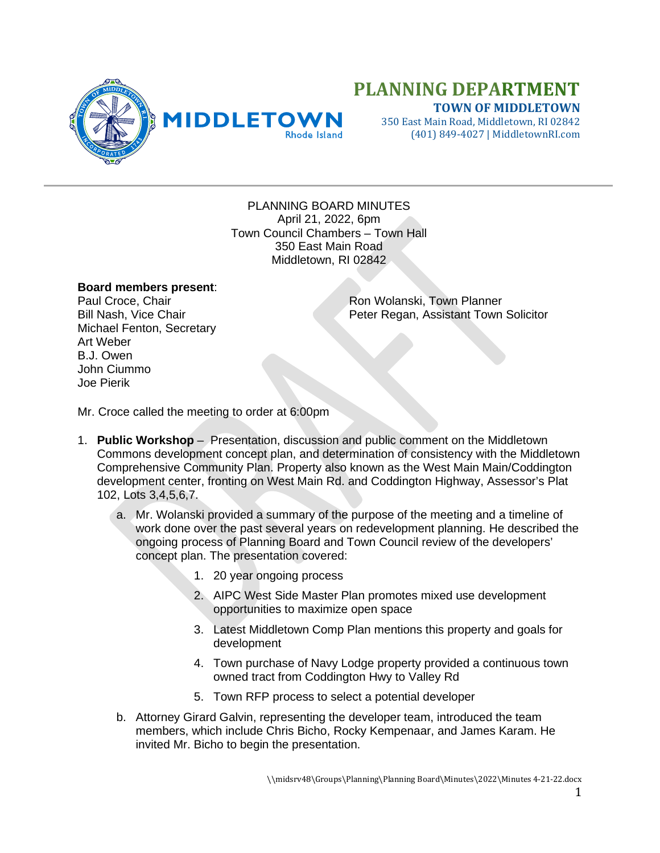

## **PLANNING DEPARTMENT TOWN OF MIDDLETOWN**

350 East Main Road, Middletown, RI 02842 (401) 849-4027 | MiddletownRI.com

PLANNING BOARD MINUTES April 21, 2022, 6pm Town Council Chambers – Town Hall 350 East Main Road Middletown, RI 02842

## **Board members present**:

Michael Fenton, Secretary Art Weber B.J. Owen John Ciummo Joe Pierik

Paul Croce, Chair Ron Wolanski, Town Planner<br>Bill Nash, Vice Chair Regan, Assistant Town Peter Regan, Assistant Town Solicitor

Mr. Croce called the meeting to order at 6:00pm

- 1. **Public Workshop** Presentation, discussion and public comment on the Middletown Commons development concept plan, and determination of consistency with the Middletown Comprehensive Community Plan. Property also known as the West Main Main/Coddington development center, fronting on West Main Rd. and Coddington Highway, Assessor's Plat 102, Lots 3,4,5,6,7.
	- a. Mr. Wolanski provided a summary of the purpose of the meeting and a timeline of work done over the past several years on redevelopment planning. He described the ongoing process of Planning Board and Town Council review of the developers' concept plan. The presentation covered:
		- 1. 20 year ongoing process
		- 2. AIPC West Side Master Plan promotes mixed use development opportunities to maximize open space
		- 3. Latest Middletown Comp Plan mentions this property and goals for development
		- 4. Town purchase of Navy Lodge property provided a continuous town owned tract from Coddington Hwy to Valley Rd
		- 5. Town RFP process to select a potential developer
	- b. Attorney Girard Galvin, representing the developer team, introduced the team members, which include Chris Bicho, Rocky Kempenaar, and James Karam. He invited Mr. Bicho to begin the presentation.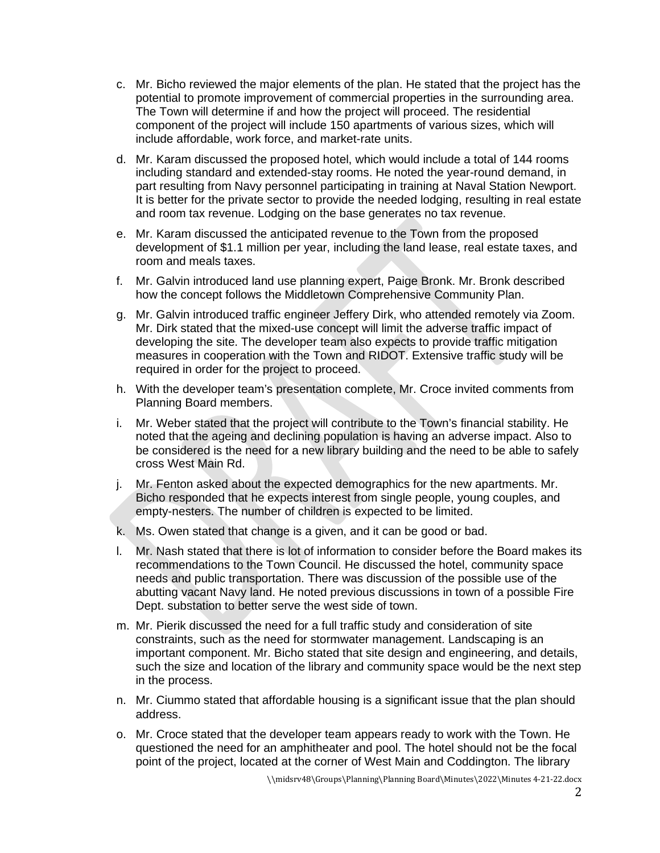- c. Mr. Bicho reviewed the major elements of the plan. He stated that the project has the potential to promote improvement of commercial properties in the surrounding area. The Town will determine if and how the project will proceed. The residential component of the project will include 150 apartments of various sizes, which will include affordable, work force, and market-rate units.
- d. Mr. Karam discussed the proposed hotel, which would include a total of 144 rooms including standard and extended-stay rooms. He noted the year-round demand, in part resulting from Navy personnel participating in training at Naval Station Newport. It is better for the private sector to provide the needed lodging, resulting in real estate and room tax revenue. Lodging on the base generates no tax revenue.
- e. Mr. Karam discussed the anticipated revenue to the Town from the proposed development of \$1.1 million per year, including the land lease, real estate taxes, and room and meals taxes.
- f. Mr. Galvin introduced land use planning expert, Paige Bronk. Mr. Bronk described how the concept follows the Middletown Comprehensive Community Plan.
- g. Mr. Galvin introduced traffic engineer Jeffery Dirk, who attended remotely via Zoom. Mr. Dirk stated that the mixed-use concept will limit the adverse traffic impact of developing the site. The developer team also expects to provide traffic mitigation measures in cooperation with the Town and RIDOT. Extensive traffic study will be required in order for the project to proceed.
- h. With the developer team's presentation complete, Mr. Croce invited comments from Planning Board members.
- i. Mr. Weber stated that the project will contribute to the Town's financial stability. He noted that the ageing and declining population is having an adverse impact. Also to be considered is the need for a new library building and the need to be able to safely cross West Main Rd.
- j. Mr. Fenton asked about the expected demographics for the new apartments. Mr. Bicho responded that he expects interest from single people, young couples, and empty-nesters. The number of children is expected to be limited.
- k. Ms. Owen stated that change is a given, and it can be good or bad.
- l. Mr. Nash stated that there is lot of information to consider before the Board makes its recommendations to the Town Council. He discussed the hotel, community space needs and public transportation. There was discussion of the possible use of the abutting vacant Navy land. He noted previous discussions in town of a possible Fire Dept. substation to better serve the west side of town.
- m. Mr. Pierik discussed the need for a full traffic study and consideration of site constraints, such as the need for stormwater management. Landscaping is an important component. Mr. Bicho stated that site design and engineering, and details, such the size and location of the library and community space would be the next step in the process.
- n. Mr. Ciummo stated that affordable housing is a significant issue that the plan should address.
- o. Mr. Croce stated that the developer team appears ready to work with the Town. He questioned the need for an amphitheater and pool. The hotel should not be the focal point of the project, located at the corner of West Main and Coddington. The library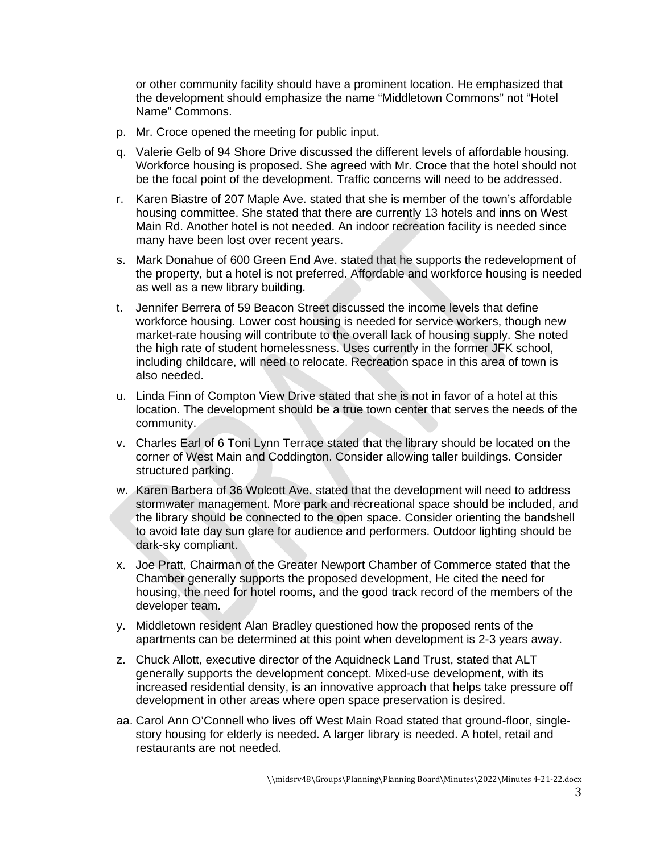or other community facility should have a prominent location. He emphasized that the development should emphasize the name "Middletown Commons" not "Hotel Name" Commons.

- p. Mr. Croce opened the meeting for public input.
- q. Valerie Gelb of 94 Shore Drive discussed the different levels of affordable housing. Workforce housing is proposed. She agreed with Mr. Croce that the hotel should not be the focal point of the development. Traffic concerns will need to be addressed.
- r. Karen Biastre of 207 Maple Ave. stated that she is member of the town's affordable housing committee. She stated that there are currently 13 hotels and inns on West Main Rd. Another hotel is not needed. An indoor recreation facility is needed since many have been lost over recent years.
- s. Mark Donahue of 600 Green End Ave. stated that he supports the redevelopment of the property, but a hotel is not preferred. Affordable and workforce housing is needed as well as a new library building.
- t. Jennifer Berrera of 59 Beacon Street discussed the income levels that define workforce housing. Lower cost housing is needed for service workers, though new market-rate housing will contribute to the overall lack of housing supply. She noted the high rate of student homelessness. Uses currently in the former JFK school, including childcare, will need to relocate. Recreation space in this area of town is also needed.
- u. Linda Finn of Compton View Drive stated that she is not in favor of a hotel at this location. The development should be a true town center that serves the needs of the community.
- v. Charles Earl of 6 Toni Lynn Terrace stated that the library should be located on the corner of West Main and Coddington. Consider allowing taller buildings. Consider structured parking.
- w. Karen Barbera of 36 Wolcott Ave. stated that the development will need to address stormwater management. More park and recreational space should be included, and the library should be connected to the open space. Consider orienting the bandshell to avoid late day sun glare for audience and performers. Outdoor lighting should be dark-sky compliant.
- x. Joe Pratt, Chairman of the Greater Newport Chamber of Commerce stated that the Chamber generally supports the proposed development, He cited the need for housing, the need for hotel rooms, and the good track record of the members of the developer team.
- y. Middletown resident Alan Bradley questioned how the proposed rents of the apartments can be determined at this point when development is 2-3 years away.
- z. Chuck Allott, executive director of the Aquidneck Land Trust, stated that ALT generally supports the development concept. Mixed-use development, with its increased residential density, is an innovative approach that helps take pressure off development in other areas where open space preservation is desired.
- aa. Carol Ann O'Connell who lives off West Main Road stated that ground-floor, singlestory housing for elderly is needed. A larger library is needed. A hotel, retail and restaurants are not needed.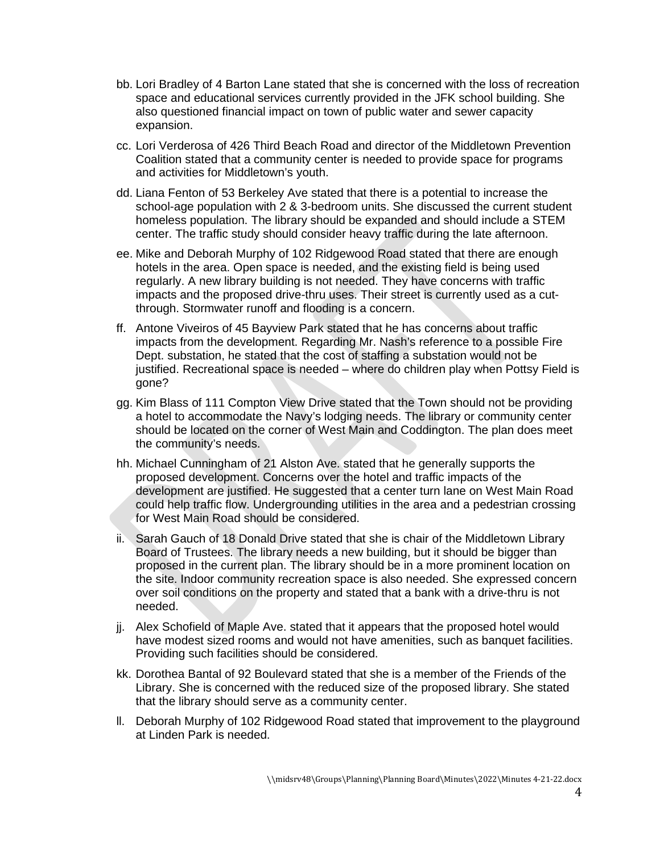- bb. Lori Bradley of 4 Barton Lane stated that she is concerned with the loss of recreation space and educational services currently provided in the JFK school building. She also questioned financial impact on town of public water and sewer capacity expansion.
- cc. Lori Verderosa of 426 Third Beach Road and director of the Middletown Prevention Coalition stated that a community center is needed to provide space for programs and activities for Middletown's youth.
- dd. Liana Fenton of 53 Berkeley Ave stated that there is a potential to increase the school-age population with 2 & 3-bedroom units. She discussed the current student homeless population. The library should be expanded and should include a STEM center. The traffic study should consider heavy traffic during the late afternoon.
- ee. Mike and Deborah Murphy of 102 Ridgewood Road stated that there are enough hotels in the area. Open space is needed, and the existing field is being used regularly. A new library building is not needed. They have concerns with traffic impacts and the proposed drive-thru uses. Their street is currently used as a cutthrough. Stormwater runoff and flooding is a concern.
- ff. Antone Viveiros of 45 Bayview Park stated that he has concerns about traffic impacts from the development. Regarding Mr. Nash's reference to a possible Fire Dept. substation, he stated that the cost of staffing a substation would not be justified. Recreational space is needed – where do children play when Pottsy Field is gone?
- gg. Kim Blass of 111 Compton View Drive stated that the Town should not be providing a hotel to accommodate the Navy's lodging needs. The library or community center should be located on the corner of West Main and Coddington. The plan does meet the community's needs.
- hh. Michael Cunningham of 21 Alston Ave. stated that he generally supports the proposed development. Concerns over the hotel and traffic impacts of the development are justified. He suggested that a center turn lane on West Main Road could help traffic flow. Undergrounding utilities in the area and a pedestrian crossing for West Main Road should be considered.
- ii. Sarah Gauch of 18 Donald Drive stated that she is chair of the Middletown Library Board of Trustees. The library needs a new building, but it should be bigger than proposed in the current plan. The library should be in a more prominent location on the site. Indoor community recreation space is also needed. She expressed concern over soil conditions on the property and stated that a bank with a drive-thru is not needed.
- jj. Alex Schofield of Maple Ave. stated that it appears that the proposed hotel would have modest sized rooms and would not have amenities, such as banquet facilities. Providing such facilities should be considered.
- kk. Dorothea Bantal of 92 Boulevard stated that she is a member of the Friends of the Library. She is concerned with the reduced size of the proposed library. She stated that the library should serve as a community center.
- ll. Deborah Murphy of 102 Ridgewood Road stated that improvement to the playground at Linden Park is needed.